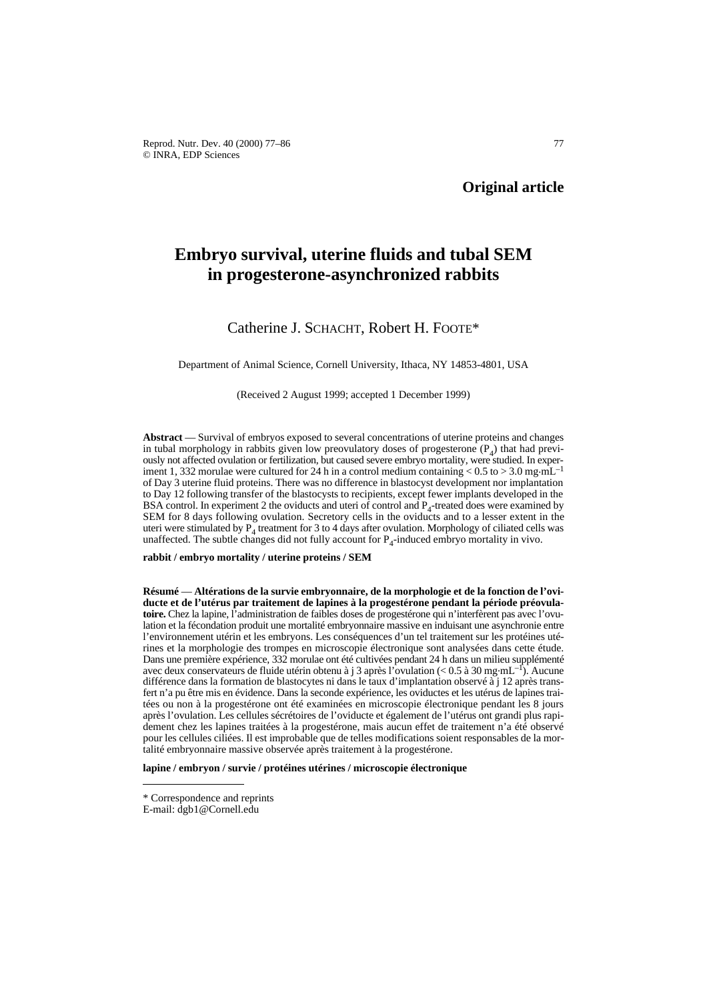Reprod. Nutr. Dev. 40 (2000) 77–86 77 © INRA, EDP Sciences

# **Embryo survival, uterine fluids and tubal SEM in progesterone-asynchronized rabbits**

# Catherine J. SCHACHT, Robert H. FOOTE\*

Department of Animal Science, Cornell University, Ithaca, NY 14853-4801, USA

#### (Received 2 August 1999; accepted 1 December 1999)

**Abstract** — Survival of embryos exposed to several concentrations of uterine proteins and changes in tubal morphology in rabbits given low preovulatory doses of progesterone  $(P_4)$  that had previously not affected ovulation or fertilization, but caused severe embryo mortality, were studied. In experiment 1, 332 morulae were cultured for 24 h in a control medium containing  $< 0.5$  to  $> 3.0$  mg·mL<sup>-1</sup> of Day 3 uterine fluid proteins. There was no difference in blastocyst development nor implantation to Day 12 following transfer of the blastocysts to recipients, except fewer implants developed in the BSA control. In experiment 2 the oviducts and uteri of control and  $P_4$ -treated does were examined by SEM for 8 days following ovulation. Secretory cells in the oviducts and to a lesser extent in the uteri were stimulated by  $P_4$  treatment for 3 to 4 days after ovulation. Morphology of ciliated cells was unaffected. The subtle changes did not fully account for  $P<sub>4</sub>$ -induced embryo mortality in vivo.

#### **rabbit / embryo mortality / uterine proteins / SEM**

**Résumé** — **Altérations de la survie embryonnaire, de la morphologie et de la fonction de l'oviducte et de l'utérus par traitement de lapines à la progestérone pendant la période préovulatoire.** Chez la lapine, l'administration de faibles doses de progestérone qui n'interfèrent pas avec l'ovulation et la fécondation produit une mortalité embryonnaire massive en induisant une asynchronie entre l'environnement utérin et les embryons. Les conséquences d'un tel traitement sur les protéines utérines et la morphologie des trompes en microscopie électronique sont analysées dans cette étude. Dans une première expérience, 332 morulae ont été cultivées pendant 24 h dans un milieu supplémenté avec deux conservateurs de fluide utérin obtenu à j 3 après l'ovulation (< 0.5 à 30 mg mL<sup>-1</sup>). Aucune différence dans la formation de blastocytes ni dans le taux d'implantation observé à j 12 après transfert n'a pu être mis en évidence. Dans la seconde expérience, les oviductes et les utérus de lapines traitées ou non à la progestérone ont été examinées en microscopie électronique pendant les 8 jours après l'ovulation. Les cellules sécrétoires de l'oviducte et également de l'utérus ont grandi plus rapidement chez les lapines traitées à la progestérone, mais aucun effet de traitement n'a été observé pour les cellules ciliées. Il est improbable que de telles modifications soient responsables de la mortalité embryonnaire massive observée après traitement à la progestérone.

**lapine / embryon / survie / protéines utérines / microscopie électronique**

<sup>\*</sup> Correspondence and reprints

E-mail: dgb1@Cornell.edu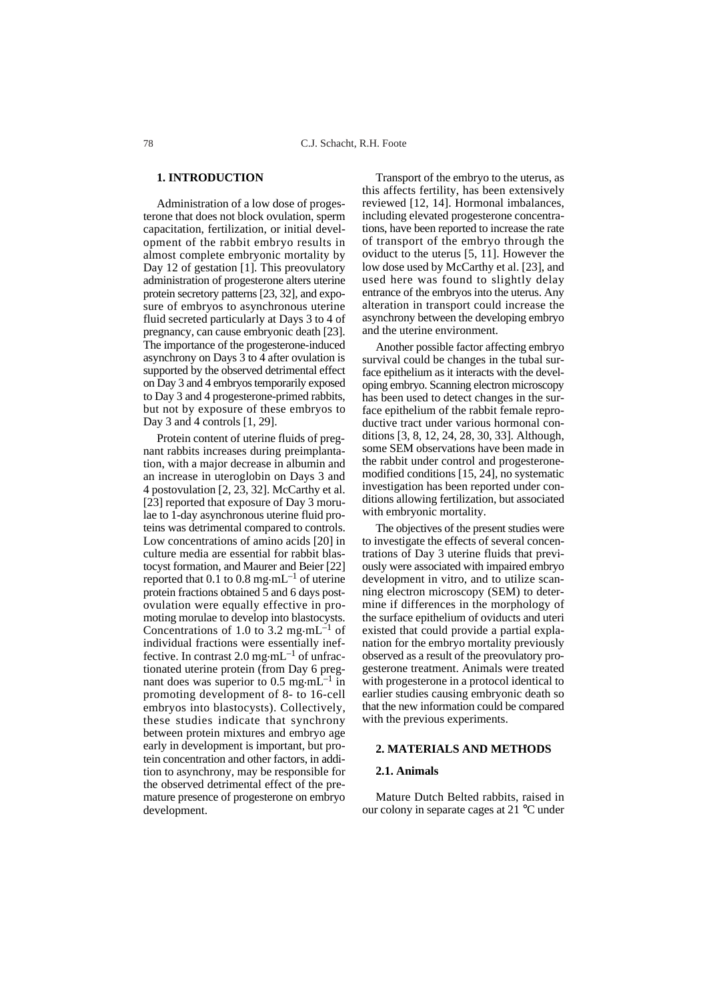# **1. INTRODUCTION**

Administration of a low dose of progesterone that does not block ovulation, sperm capacitation, fertilization, or initial development of the rabbit embryo results in almost complete embryonic mortality by Day 12 of gestation [1]. This preovulatory administration of progesterone alters uterine protein secretory patterns [23, 32], and exposure of embryos to asynchronous uterine fluid secreted particularly at Days 3 to 4 of pregnancy, can cause embryonic death [23]. The importance of the progesterone-induced asynchrony on Days 3 to 4 after ovulation is supported by the observed detrimental effect on Day 3 and 4 embryos temporarily exposed to Day 3 and 4 progesterone-primed rabbits, but not by exposure of these embryos to Day 3 and 4 controls [1, 29].

Protein content of uterine fluids of pregnant rabbits increases during preimplantation, with a major decrease in albumin and an increase in uteroglobin on Days 3 and 4 postovulation [2, 23, 32]. McCarthy et al. [23] reported that exposure of Day 3 morulae to 1-day asynchronous uterine fluid proteins was detrimental compared to controls. Low concentrations of amino acids [20] in culture media are essential for rabbit blastocyst formation, and Maurer and Beier [22] reported that  $0.1$  to  $0.8$  mg·mL<sup>-1</sup> of uterine protein fractions obtained 5 and 6 days postovulation were equally effective in promoting morulae to develop into blastocysts. Concentrations of 1.0 to 3.2 mg $\cdot$ mL<sup>-1</sup> of individual fractions were essentially ineffective. In contrast 2.0 mg·mL<sup>-1</sup> of unfractionated uterine protein (from Day 6 pregnant does was superior to  $0.5 \text{ mg} \cdot \text{mL}^{-1}$  in promoting development of 8- to 16-cell embryos into blastocysts). Collectively, these studies indicate that synchrony between protein mixtures and embryo age early in development is important, but protein concentration and other factors, in addition to asynchrony, may be responsible for the observed detrimental effect of the premature presence of progesterone on embryo development.

Transport of the embryo to the uterus, as this affects fertility, has been extensively reviewed [12, 14]. Hormonal imbalances, including elevated progesterone concentrations, have been reported to increase the rate of transport of the embryo through the oviduct to the uterus [5, 11]. However the low dose used by McCarthy et al. [23], and used here was found to slightly delay entrance of the embryos into the uterus. Any alteration in transport could increase the asynchrony between the developing embryo and the uterine environment.

Another possible factor affecting embryo survival could be changes in the tubal surface epithelium as it interacts with the developing embryo. Scanning electron microscopy has been used to detect changes in the surface epithelium of the rabbit female reproductive tract under various hormonal conditions [3, 8, 12, 24, 28, 30, 33]. Although, some SEM observations have been made in the rabbit under control and progesteronemodified conditions [15, 24], no systematic investigation has been reported under conditions allowing fertilization, but associated with embryonic mortality.

The objectives of the present studies were to investigate the effects of several concentrations of Day 3 uterine fluids that previously were associated with impaired embryo development in vitro, and to utilize scanning electron microscopy (SEM) to determine if differences in the morphology of the surface epithelium of oviducts and uteri existed that could provide a partial explanation for the embryo mortality previously observed as a result of the preovulatory progesterone treatment. Animals were treated with progesterone in a protocol identical to earlier studies causing embryonic death so that the new information could be compared with the previous experiments.

# **2. MATERIALS AND METHODS**

#### **2.1. Animals**

Mature Dutch Belted rabbits, raised in our colony in separate cages at 21 °C under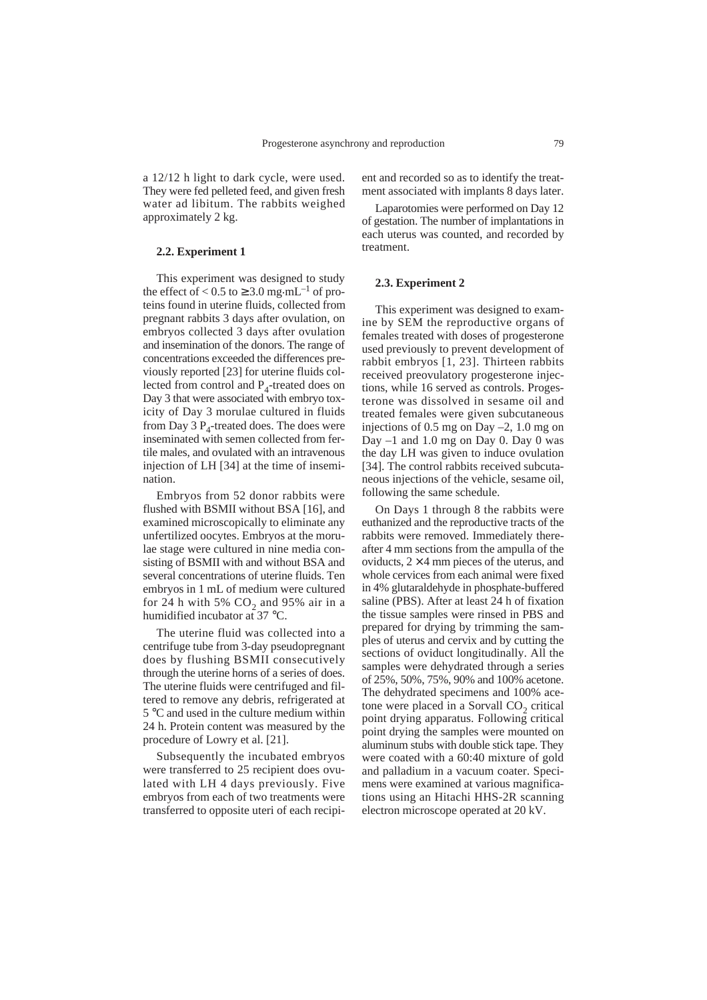a 12/12 h light to dark cycle, were used. They were fed pelleted feed, and given fresh water ad libitum. The rabbits weighed approximately 2 kg.

# **2.2. Experiment 1**

This experiment was designed to study the effect of <  $0.5$  to  $\geq 3.0$  mg·mL<sup>-1</sup> of proteins found in uterine fluids, collected from pregnant rabbits 3 days after ovulation, on embryos collected 3 days after ovulation and insemination of the donors. The range of concentrations exceeded the differences previously reported [23] for uterine fluids collected from control and  $P_4$ -treated does on Day 3 that were associated with embryo toxicity of Day 3 morulae cultured in fluids from Day 3  $P_4$ -treated does. The does were inseminated with semen collected from fertile males, and ovulated with an intravenous injection of LH [34] at the time of insemination.

Embryos from 52 donor rabbits were flushed with BSMII without BSA [16], and examined microscopically to eliminate any unfertilized oocytes. Embryos at the morulae stage were cultured in nine media consisting of BSMII with and without BSA and several concentrations of uterine fluids. Ten embryos in 1 mL of medium were cultured for 24 h with 5%  $CO<sub>2</sub>$  and 95% air in a humidified incubator at 37 °C.

The uterine fluid was collected into a centrifuge tube from 3-day pseudopregnant does by flushing BSMII consecutively through the uterine horns of a series of does. The uterine fluids were centrifuged and filtered to remove any debris, refrigerated at 5 °C and used in the culture medium within 24 h. Protein content was measured by the procedure of Lowry et al. [21].

Subsequently the incubated embryos were transferred to 25 recipient does ovulated with LH 4 days previously. Five embryos from each of two treatments were transferred to opposite uteri of each recipient and recorded so as to identify the treatment associated with implants 8 days later.

Laparotomies were performed on Day 12 of gestation. The number of implantations in each uterus was counted, and recorded by treatment.

#### **2.3. Experiment 2**

This experiment was designed to examine by SEM the reproductive organs of females treated with doses of progesterone used previously to prevent development of rabbit embryos [1, 23]. Thirteen rabbits received preovulatory progesterone injections, while 16 served as controls. Progesterone was dissolved in sesame oil and treated females were given subcutaneous injections of 0.5 mg on Day –2, 1.0 mg on Day –1 and 1.0 mg on Day 0. Day 0 was the day LH was given to induce ovulation [34]. The control rabbits received subcutaneous injections of the vehicle, sesame oil, following the same schedule.

On Days 1 through 8 the rabbits were euthanized and the reproductive tracts of the rabbits were removed. Immediately thereafter 4 mm sections from the ampulla of the oviducts,  $2 \times 4$  mm pieces of the uterus, and whole cervices from each animal were fixed in 4% glutaraldehyde in phosphate-buffered saline (PBS). After at least 24 h of fixation the tissue samples were rinsed in PBS and prepared for drying by trimming the samples of uterus and cervix and by cutting the sections of oviduct longitudinally. All the samples were dehydrated through a series of 25%, 50%, 75%, 90% and 100% acetone. The dehydrated specimens and 100% acetone were placed in a Sorvall  $CO<sub>2</sub>$  critical point drying apparatus. Following critical point drying the samples were mounted on aluminum stubs with double stick tape. They were coated with a 60:40 mixture of gold and palladium in a vacuum coater. Specimens were examined at various magnifications using an Hitachi HHS-2R scanning electron microscope operated at 20 kV.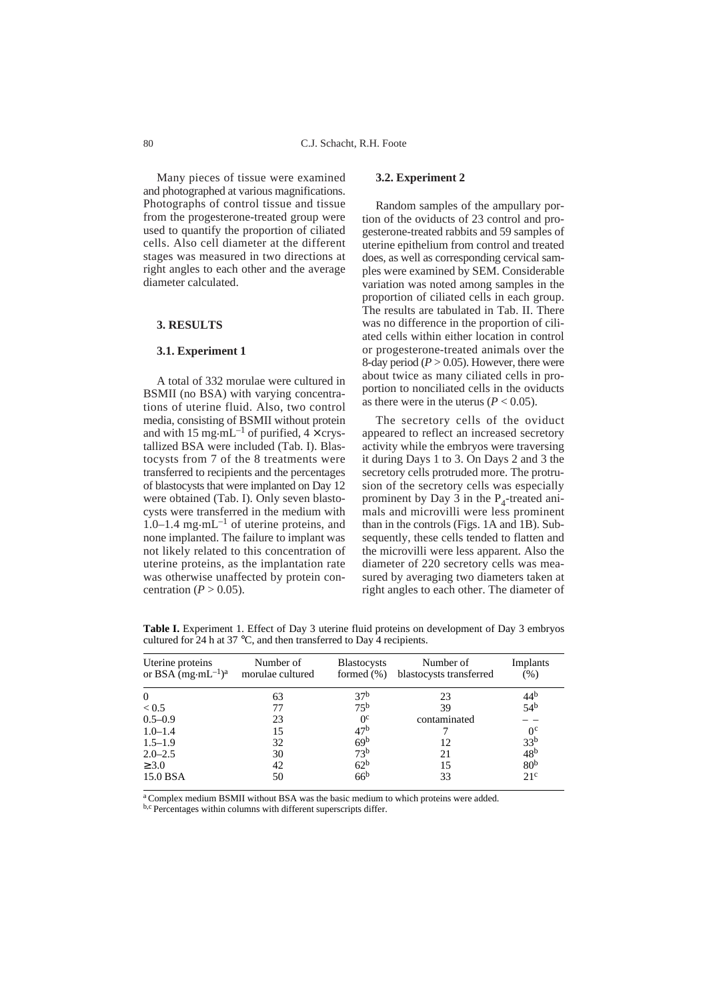Many pieces of tissue were examined and photographed at various magnifications. Photographs of control tissue and tissue from the progesterone-treated group were used to quantify the proportion of ciliated cells. Also cell diameter at the different stages was measured in two directions at right angles to each other and the average diameter calculated.

#### **3. RESULTS**

## **3.1. Experiment 1**

A total of 332 morulae were cultured in BSMII (no BSA) with varying concentrations of uterine fluid. Also, two control media, consisting of BSMII without protein and with 15 mg·mL<sup>-1</sup> of purified,  $4 \times$  crystallized BSA were included (Tab. I). Blastocysts from 7 of the 8 treatments were transferred to recipients and the percentages of blastocysts that were implanted on Day 12 were obtained (Tab. I). Only seven blastocysts were transferred in the medium with  $1.0-1.4$  mg·mL<sup>-1</sup> of uterine proteins, and none implanted. The failure to implant was not likely related to this concentration of uterine proteins, as the implantation rate was otherwise unaffected by protein concentration ( $P > 0.05$ ).

# **3.2. Experiment 2**

Random samples of the ampullary portion of the oviducts of 23 control and progesterone-treated rabbits and 59 samples of uterine epithelium from control and treated does, as well as corresponding cervical samples were examined by SEM. Considerable variation was noted among samples in the proportion of ciliated cells in each group. The results are tabulated in Tab. II. There was no difference in the proportion of ciliated cells within either location in control or progesterone-treated animals over the 8-day period  $(P > 0.05)$ . However, there were about twice as many ciliated cells in proportion to nonciliated cells in the oviducts as there were in the uterus  $(P < 0.05)$ .

The secretory cells of the oviduct appeared to reflect an increased secretory activity while the embryos were traversing it during Days 1 to 3. On Days 2 and 3 the secretory cells protruded more. The protrusion of the secretory cells was especially prominent by Day 3 in the  $P_4$ -treated animals and microvilli were less prominent than in the controls (Figs. 1A and 1B). Subsequently, these cells tended to flatten and the microvilli were less apparent. Also the diameter of 220 secretory cells was measured by averaging two diameters taken at right angles to each other. The diameter of

**Table I.** Experiment 1. Effect of Day 3 uterine fluid proteins on development of Day 3 embryos cultured for 24 h at 37 °C, and then transferred to Day 4 recipients.

| Uterine proteins<br>or BSA $(mg \cdot mL^{-1})^a$ | Number of<br>morulae cultured | <b>Blastocysts</b><br>formed $(\% )$ | Number of<br>blastocysts transferred | Implants<br>$(\%)$ |
|---------------------------------------------------|-------------------------------|--------------------------------------|--------------------------------------|--------------------|
| $\Omega$                                          | 63                            | 37 <sup>b</sup>                      | 23                                   | 44 <sup>b</sup>    |
| < 0.5                                             | 77                            | 75 <sup>b</sup>                      | 39                                   | 54 <sup>b</sup>    |
| $0.5 - 0.9$                                       | 23                            | 0 <sup>c</sup>                       | contaminated                         |                    |
| $1.0 - 1.4$                                       | 15                            | 47 <sup>b</sup>                      |                                      | 0 <sup>c</sup>     |
| $1.5 - 1.9$                                       | 32                            | 69 <sup>b</sup>                      | 12                                   | 33 <sup>b</sup>    |
| $2.0 - 2.5$                                       | 30                            | 73 <sup>b</sup>                      | 21                                   | 48 <sup>b</sup>    |
| $\geq 3.0$                                        | 42                            | 62 <sup>b</sup>                      | 15                                   | 80 <sup>b</sup>    |
| 15.0 BSA                                          | 50                            | 66 <sup>b</sup>                      | 33                                   | 21 <sup>c</sup>    |

<sup>a</sup> Complex medium BSMII without BSA was the basic medium to which proteins were added.

b,c Percentages within columns with different superscripts differ.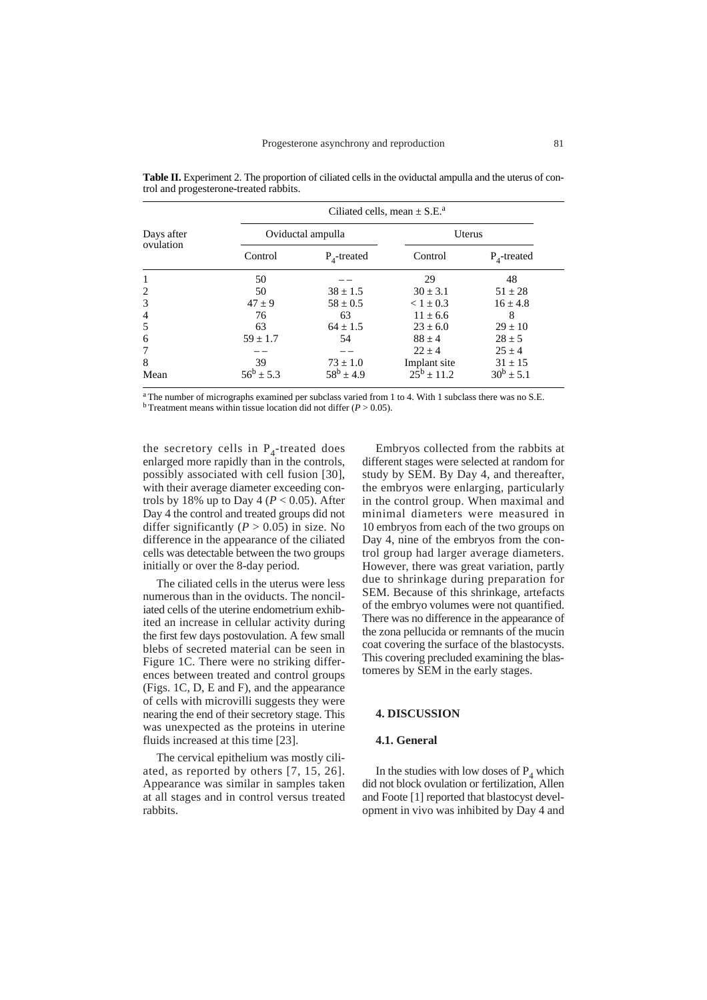| Days after<br>ovulation |              | Ciliated cells, mean $\pm$ S.E. <sup>a</sup> |                     |                         |  |  |
|-------------------------|--------------|----------------------------------------------|---------------------|-------------------------|--|--|
|                         |              | Oviductal ampulla                            |                     | Uterus                  |  |  |
|                         | Control      | $P_{\rm A}$ -treated                         | Control             | $P_{\text{A}}$ -treated |  |  |
| 1                       | 50           |                                              | 29                  | 48                      |  |  |
| 2                       | 50           | $38 \pm 1.5$                                 | $30 \pm 3.1$        | $51 \pm 28$             |  |  |
| 3                       | $47 \pm 9$   | $58 \pm 0.5$                                 | $< 1 \pm 0.3$       | $16 \pm 4.8$            |  |  |
| $\overline{4}$          | 76           | 63                                           | $11 \pm 6.6$        | 8                       |  |  |
| 5                       | 63           | $64 \pm 1.5$                                 | $23 \pm 6.0$        | $29 \pm 10$             |  |  |
| 6                       | $59 \pm 1.7$ | 54                                           | $88 \pm 4$          | $28 \pm 5$              |  |  |
| 7                       |              |                                              | $22 + 4$            | $25 + 4$                |  |  |
| 8                       | 39           | $73 \pm 1.0$                                 | Implant site        | $31 \pm 15$             |  |  |
| Mean                    | $56^b + 5.3$ | $58^b \pm 4.9$                               | $25^{\rm b}$ + 11.2 | $30^b \pm 5.1$          |  |  |

**Table II.** Experiment 2. The proportion of ciliated cells in the oviductal ampulla and the uterus of control and progesterone-treated rabbits.

<sup>a</sup> The number of micrographs examined per subclass varied from 1 to 4. With 1 subclass there was no S.E. <sup>b</sup> Treatment means within tissue location did not differ  $(P > 0.05)$ .

the secretory cells in  $P_4$ -treated does enlarged more rapidly than in the controls, possibly associated with cell fusion [30], with their average diameter exceeding controls by 18% up to Day 4 ( $P < 0.05$ ). After Day 4 the control and treated groups did not differ significantly  $(P > 0.05)$  in size. No difference in the appearance of the ciliated cells was detectable between the two groups initially or over the 8-day period.

The ciliated cells in the uterus were less numerous than in the oviducts. The nonciliated cells of the uterine endometrium exhibited an increase in cellular activity during the first few days postovulation. A few small blebs of secreted material can be seen in Figure 1C. There were no striking differences between treated and control groups (Figs. 1C, D, E and F), and the appearance of cells with microvilli suggests they were nearing the end of their secretory stage. This was unexpected as the proteins in uterine fluids increased at this time [23].

The cervical epithelium was mostly ciliated, as reported by others [7, 15, 26]. Appearance was similar in samples taken at all stages and in control versus treated rabbits.

Embryos collected from the rabbits at different stages were selected at random for study by SEM. By Day 4, and thereafter, the embryos were enlarging, particularly in the control group. When maximal and minimal diameters were measured in 10 embryos from each of the two groups on Day 4, nine of the embryos from the control group had larger average diameters. However, there was great variation, partly due to shrinkage during preparation for SEM. Because of this shrinkage, artefacts of the embryo volumes were not quantified. There was no difference in the appearance of the zona pellucida or remnants of the mucin coat covering the surface of the blastocysts. This covering precluded examining the blastomeres by SEM in the early stages.

# **4. DISCUSSION**

#### **4.1. General**

In the studies with low doses of  $P_4$  which did not block ovulation or fertilization, Allen and Foote [1] reported that blastocyst development in vivo was inhibited by Day 4 and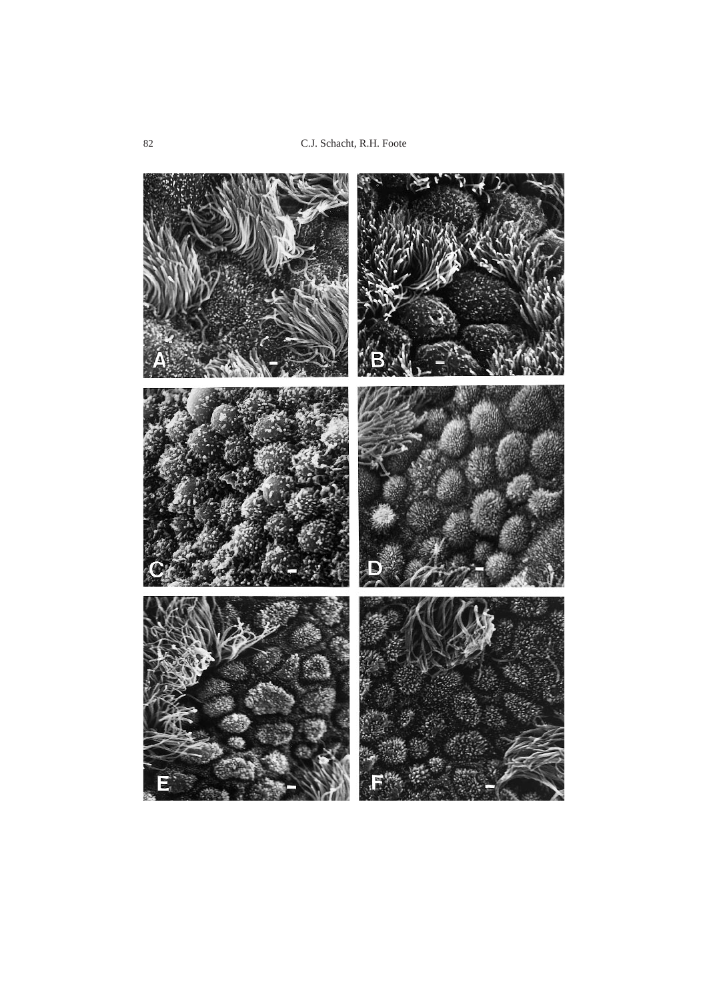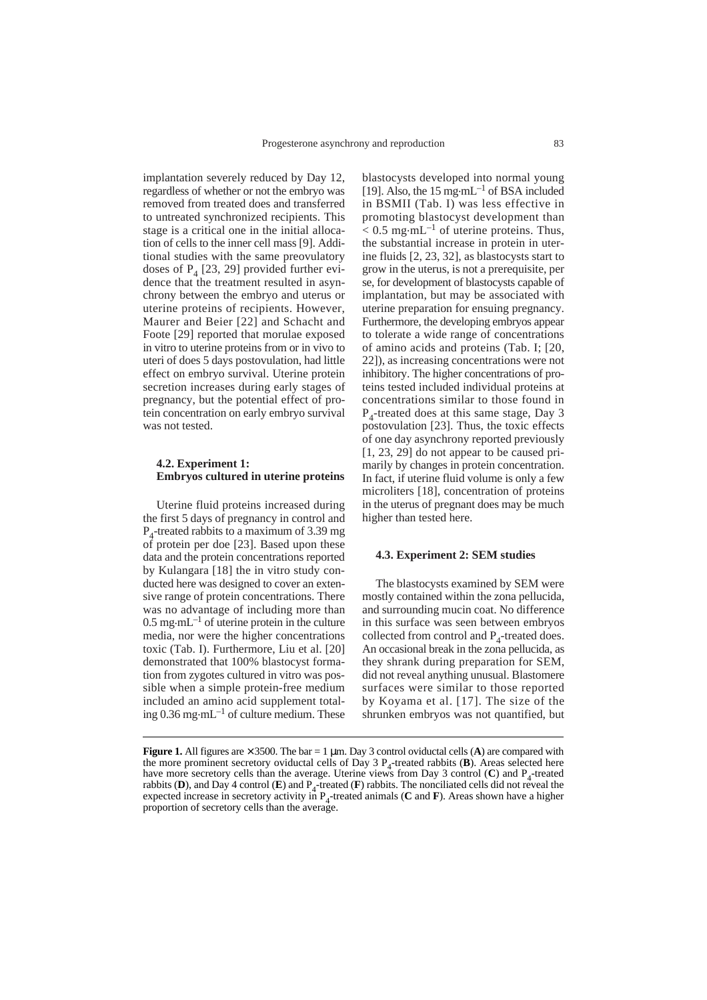implantation severely reduced by Day 12, regardless of whether or not the embryo was removed from treated does and transferred to untreated synchronized recipients. This stage is a critical one in the initial allocation of cells to the inner cell mass [9]. Additional studies with the same preovulatory doses of  $P_4$  [23, 29] provided further evidence that the treatment resulted in asynchrony between the embryo and uterus or uterine proteins of recipients. However, Maurer and Beier [22] and Schacht and Foote [29] reported that morulae exposed in vitro to uterine proteins from or in vivo to uteri of does 5 days postovulation, had little effect on embryo survival. Uterine protein secretion increases during early stages of pregnancy, but the potential effect of protein concentration on early embryo survival was not tested.

# **4.2. Experiment 1: Embryos cultured in uterine proteins**

Uterine fluid proteins increased during the first 5 days of pregnancy in control and  $P_4$ -treated rabbits to a maximum of 3.39 mg of protein per doe [23]. Based upon these data and the protein concentrations reported by Kulangara [18] the in vitro study conducted here was designed to cover an extensive range of protein concentrations. There was no advantage of including more than  $0.5$  mg $\cdot$ mL<sup>-1</sup> of uterine protein in the culture media, nor were the higher concentrations toxic (Tab. I). Furthermore, Liu et al. [20] demonstrated that 100% blastocyst formation from zygotes cultured in vitro was possible when a simple protein-free medium included an amino acid supplement totaling 0.36 mg·m $L^{-1}$  of culture medium. These

blastocysts developed into normal young [19]. Also, the 15 mg·mL<sup>-1</sup> of BSA included in BSMII (Tab. I) was less effective in promoting blastocyst development than  $< 0.5$  mg·mL<sup>-1</sup> of uterine proteins. Thus, the substantial increase in protein in uterine fluids [2, 23, 32], as blastocysts start to grow in the uterus, is not a prerequisite, per se, for development of blastocysts capable of implantation, but may be associated with uterine preparation for ensuing pregnancy. Furthermore, the developing embryos appear to tolerate a wide range of concentrations of amino acids and proteins (Tab. I; [20, 22]), as increasing concentrations were not inhibitory. The higher concentrations of proteins tested included individual proteins at concentrations similar to those found in P4-treated does at this same stage, Day 3 postovulation [23]. Thus, the toxic effects of one day asynchrony reported previously [1, 23, 29] do not appear to be caused primarily by changes in protein concentration. In fact, if uterine fluid volume is only a few microliters [18], concentration of proteins in the uterus of pregnant does may be much higher than tested here.

## **4.3. Experiment 2: SEM studies**

The blastocysts examined by SEM were mostly contained within the zona pellucida, and surrounding mucin coat. No difference in this surface was seen between embryos collected from control and  $P_4$ -treated does. An occasional break in the zona pellucida, as they shrank during preparation for SEM, did not reveal anything unusual. Blastomere surfaces were similar to those reported by Koyama et al. [17]. The size of the shrunken embryos was not quantified, but

**Figure 1.** All figures are  $\times$  3500. The bar = 1 µm. Day 3 control oviductal cells (**A**) are compared with the more prominent secretory oviductal cells of Day 3  $P<sub>4</sub>$ -treated rabbits (**B**). Areas selected here have more secretory cells than the average. Uterine views from Day 3 control (C) and  $P_4$ -treated rabbits (**D**), and Day 4 control (**E**) and  $P_4$ -treated (**F**) rabbits. The nonciliated cells did not reveal the expected increase in secretory activity in  $P_4$ -treated animals (**C** and **F**). Areas shown have a higher proportion of secretory cells than the average.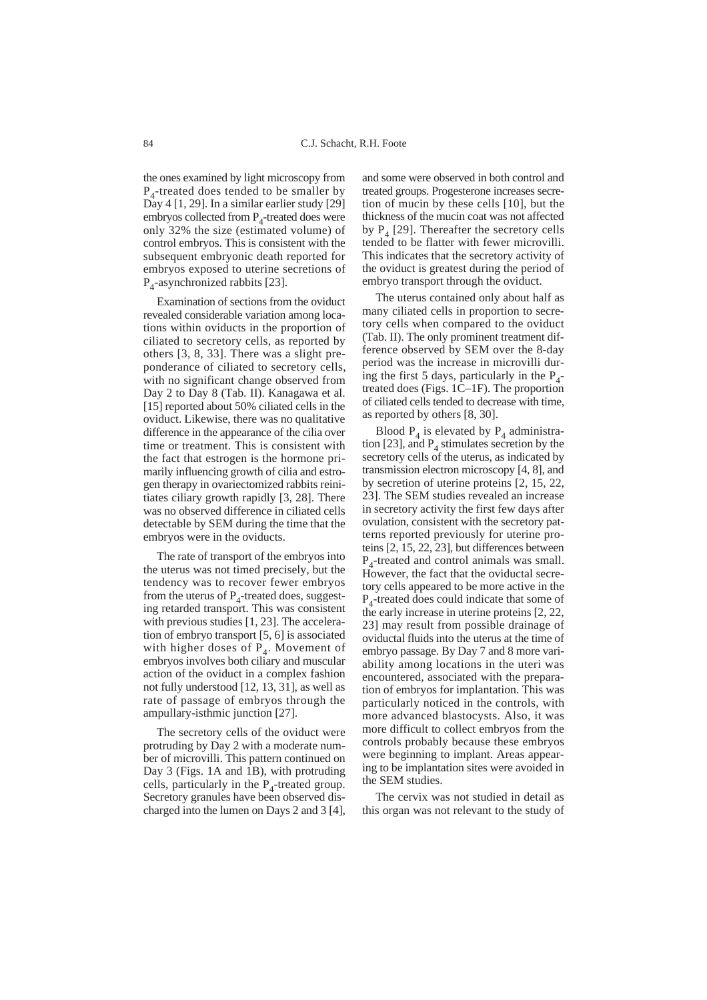the ones examined by light microscopy from P<sub>4</sub>-treated does tended to be smaller by Day 4 [1, 29]. In a similar earlier study [29] embryos collected from  $P_A$ -treated does were only 32% the size (estimated volume) of control embryos. This is consistent with the subsequent embryonic death reported for embryos exposed to uterine secretions of  $P_4$ -asynchronized rabbits [23].

Examination of sections from the oviduct revealed considerable variation among locations within oviducts in the proportion of ciliated to secretory cells, as reported by others [3, 8, 33]. There was a slight preponderance of ciliated to secretory cells, with no significant change observed from Day 2 to Day 8 (Tab. II). Kanagawa et al. [15] reported about 50% ciliated cells in the oviduct. Likewise, there was no qualitative difference in the appearance of the cilia over time or treatment. This is consistent with the fact that estrogen is the hormone primarily influencing growth of cilia and estrogen therapy in ovariectomized rabbits reinitiates ciliary growth rapidly [3, 28]. There was no observed difference in ciliated cells detectable by SEM during the time that the embryos were in the oviducts.

The rate of transport of the embryos into the uterus was not timed precisely, but the tendency was to recover fewer embryos from the uterus of  $P_4$ -treated does, suggesting retarded transport. This was consistent with previous studies [1, 23]. The acceleration of embryo transport [5, 6] is associated with higher doses of  $P<sub>4</sub>$ . Movement of embryos involves both ciliary and muscular action of the oviduct in a complex fashion not fully understood [12, 13, 31], as well as rate of passage of embryos through the ampullary-isthmic junction [27].

The secretory cells of the oviduct were protruding by Day 2 with a moderate number of microvilli. This pattern continued on Day 3 (Figs. 1A and 1B), with protruding cells, particularly in the  $P_{4}$ -treated group. Secretory granules have been observed discharged into the lumen on Days 2 and 3 [4],

and some were observed in both control and treated groups. Progesterone increases secretion of mucin by these cells [10], but the thickness of the mucin coat was not affected by  $P_4$  [29]. Thereafter the secretory cells tended to be flatter with fewer microvilli. This indicates that the secretory activity of the oviduct is greatest during the period of embryo transport through the oviduct.

The uterus contained only about half as many ciliated cells in proportion to secretory cells when compared to the oviduct (Tab. II). The only prominent treatment difference observed by SEM over the 8-day period was the increase in microvilli during the first 5 days, particularly in the  $P_{4}$ treated does (Figs. 1C–1F). The proportion of ciliated cells tended to decrease with time, as reported by others [8, 30].

Blood  $P_4$  is elevated by  $P_4$  administration [23], and  $P_4$  stimulates secretion by the secretory cells of the uterus, as indicated by transmission electron microscopy [4, 8], and by secretion of uterine proteins [2, 15, 22, 23]. The SEM studies revealed an increase in secretory activity the first few days after ovulation, consistent with the secretory patterns reported previously for uterine proteins [2, 15, 22, 23], but differences between  $P_{4}$ -treated and control animals was small. However, the fact that the oviductal secretory cells appeared to be more active in the  $P_4$ -treated does could indicate that some of the early increase in uterine proteins [2, 22, 23] may result from possible drainage of oviductal fluids into the uterus at the time of embryo passage. By Day 7 and 8 more variability among locations in the uteri was encountered, associated with the preparation of embryos for implantation. This was particularly noticed in the controls, with more advanced blastocysts. Also, it was more difficult to collect embryos from the controls probably because these embryos were beginning to implant. Areas appearing to be implantation sites were avoided in the SEM studies.

The cervix was not studied in detail as this organ was not relevant to the study of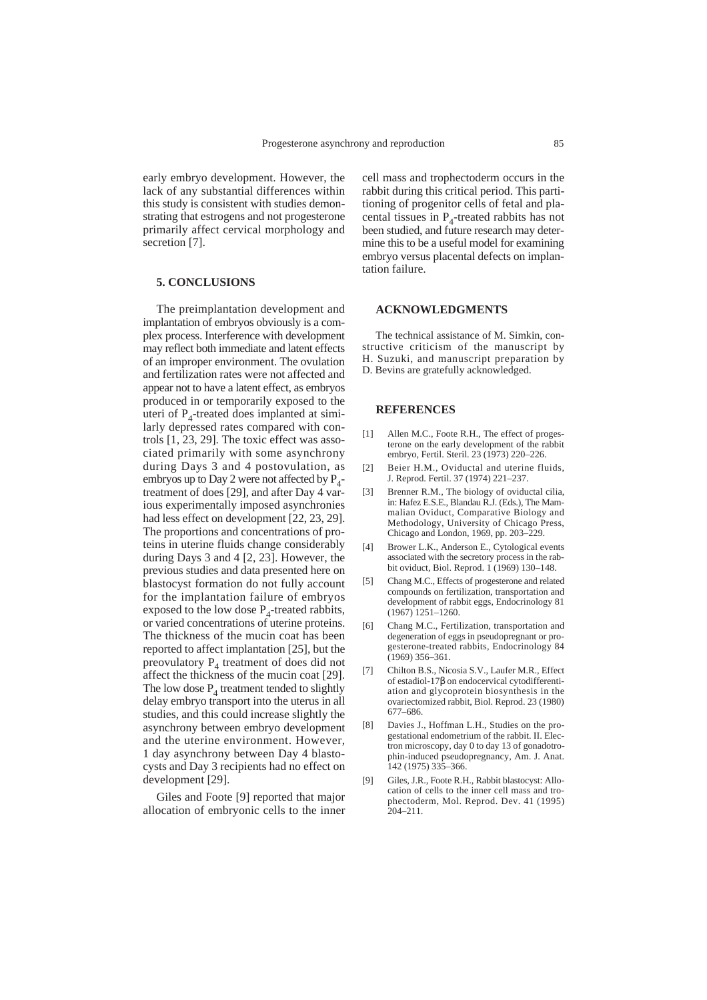early embryo development. However, the lack of any substantial differences within this study is consistent with studies demonstrating that estrogens and not progesterone primarily affect cervical morphology and secretion [7].

#### **5. CONCLUSIONS**

The preimplantation development and implantation of embryos obviously is a complex process. Interference with development may reflect both immediate and latent effects of an improper environment. The ovulation and fertilization rates were not affected and appear not to have a latent effect, as embryos produced in or temporarily exposed to the uteri of  $P_{\text{A}}$ -treated does implanted at similarly depressed rates compared with controls [1, 23, 29]. The toxic effect was associated primarily with some asynchrony during Days 3 and 4 postovulation, as embryos up to Day 2 were not affected by  $P_{4}$ treatment of does [29], and after Day 4 various experimentally imposed asynchronies had less effect on development [22, 23, 29]. The proportions and concentrations of proteins in uterine fluids change considerably during Days 3 and 4 [2, 23]. However, the previous studies and data presented here on blastocyst formation do not fully account for the implantation failure of embryos exposed to the low dose  $P_4$ -treated rabbits, or varied concentrations of uterine proteins. The thickness of the mucin coat has been reported to affect implantation [25], but the preovulatory  $P_4$  treatment of does did not affect the thickness of the mucin coat [29]. The low dose  $P_4$  treatment tended to slightly delay embryo transport into the uterus in all studies, and this could increase slightly the asynchrony between embryo development and the uterine environment. However, 1 day asynchrony between Day 4 blastocysts and Day 3 recipients had no effect on development [29].

Giles and Foote [9] reported that major allocation of embryonic cells to the inner

cell mass and trophectoderm occurs in the rabbit during this critical period. This partitioning of progenitor cells of fetal and placental tissues in  $P_4$ -treated rabbits has not been studied, and future research may determine this to be a useful model for examining embryo versus placental defects on implantation failure.

#### **ACKNOWLEDGMENTS**

The technical assistance of M. Simkin, constructive criticism of the manuscript by H. Suzuki, and manuscript preparation by D. Bevins are gratefully acknowledged.

# **REFERENCES**

- [1] Allen M.C., Foote R.H., The effect of progesterone on the early development of the rabbit embryo, Fertil. Steril. 23 (1973) 220–226.
- [2] Beier H.M., Oviductal and uterine fluids, J. Reprod. Fertil. 37 (1974) 221–237.
- [3] Brenner R.M., The biology of oviductal cilia, in: Hafez E.S.E., Blandau R.J. (Eds.), The Mammalian Oviduct, Comparative Biology and Methodology, University of Chicago Press, Chicago and London, 1969, pp. 203–229.
- [4] Brower L.K., Anderson E., Cytological events associated with the secretory process in the rabbit oviduct, Biol. Reprod. 1 (1969) 130–148.
- [5] Chang M.C., Effects of progesterone and related compounds on fertilization, transportation and development of rabbit eggs, Endocrinology 81 (1967) 1251–1260.
- [6] Chang M.C., Fertilization, transportation and degeneration of eggs in pseudopregnant or progesterone-treated rabbits, Endocrinology 84 (1969) 356–361.
- [7] Chilton B.S., Nicosia S.V., Laufer M.R., Effect of estadiol-17β on endocervical cytodifferentiation and glycoprotein biosynthesis in the ovariectomized rabbit, Biol. Reprod. 23 (1980) 677–686.
- [8] Davies J., Hoffman L.H., Studies on the progestational endometrium of the rabbit. II. Electron microscopy, day 0 to day 13 of gonadotrophin-induced pseudopregnancy, Am. J. Anat. 142 (1975) 335–366.
- [9] Giles, J.R., Foote R.H., Rabbit blastocyst: Allocation of cells to the inner cell mass and trophectoderm, Mol. Reprod. Dev. 41 (1995) 204–211.